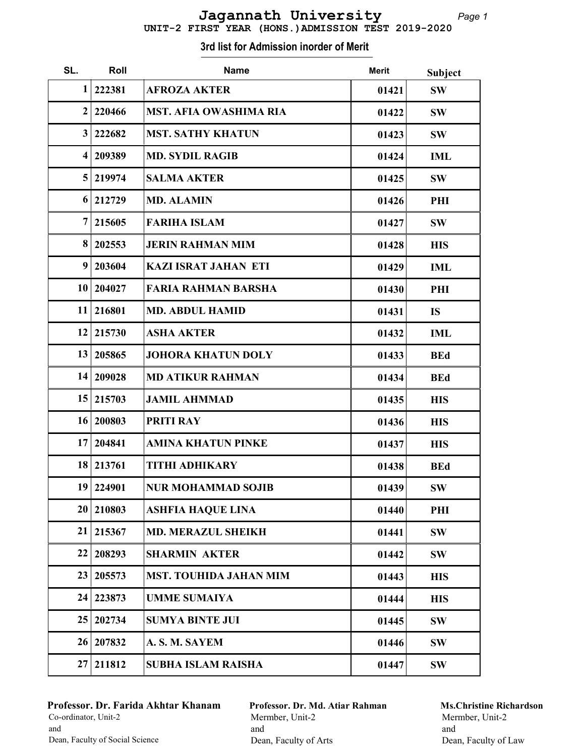| UNIT-2 FIRST YEAR (HONS.) ADMISSION TEST 2019-2020 |  |
|----------------------------------------------------|--|
|----------------------------------------------------|--|

| SL.            | Roll      | <b>Name</b>                   | <b>Merit</b> | <b>Subject</b> |
|----------------|-----------|-------------------------------|--------------|----------------|
| 1              | 222381    | <b>AFROZA AKTER</b>           | 01421        | <b>SW</b>      |
| $\overline{2}$ | 220466    | <b>MST. AFIA OWASHIMA RIA</b> | 01422        | <b>SW</b>      |
| 3              | 222682    | <b>MST. SATHY KHATUN</b>      | 01423        | <b>SW</b>      |
| 4              | 209389    | <b>MD. SYDIL RAGIB</b>        | 01424        | <b>IML</b>     |
| 5              | 219974    | <b>SALMA AKTER</b>            | 01425        | <b>SW</b>      |
| 6              | 212729    | <b>MD. ALAMIN</b>             | 01426        | PHI            |
| $\overline{7}$ | 215605    | <b>FARIHA ISLAM</b>           | 01427        | <b>SW</b>      |
| 8              | 202553    | <b>JERIN RAHMAN MIM</b>       | 01428        | <b>HIS</b>     |
| 9              | 203604    | <b>KAZI ISRAT JAHAN ETI</b>   | 01429        | <b>IML</b>     |
| 10             | 204027    | <b>FARIA RAHMAN BARSHA</b>    | 01430        | PHI            |
| 11             | 216801    | <b>MD. ABDUL HAMID</b>        | 01431        | <b>IS</b>      |
| 12             | 215730    | <b>ASHA AKTER</b>             | 01432        | <b>IML</b>     |
| 13             | 205865    | <b>JOHORA KHATUN DOLY</b>     | 01433        | <b>BEd</b>     |
| 14             | 209028    | <b>MD ATIKUR RAHMAN</b>       | 01434        | <b>BEd</b>     |
| 15             | 215703    | <b>JAMIL AHMMAD</b>           | 01435        | <b>HIS</b>     |
| 16             | 200803    | <b>PRITI RAY</b>              | 01436        | <b>HIS</b>     |
| 17             | 204841    | <b>AMINA KHATUN PINKE</b>     | 01437        | <b>HIS</b>     |
| 18             | 213761    | <b>TITHI ADHIKARY</b>         | 01438        | <b>BEd</b>     |
|                | 19 224901 | <b>NUR MOHAMMAD SOJIB</b>     | 01439        | <b>SW</b>      |
| 20             | 210803    | <b>ASHFIA HAQUE LINA</b>      | 01440        | PHI            |
| 21             | 215367    | <b>MD. MERAZUL SHEIKH</b>     | 01441        | <b>SW</b>      |
| 22             | 208293    | <b>SHARMIN AKTER</b>          | 01442        | <b>SW</b>      |
| 23             | 205573    | <b>MST. TOUHIDA JAHAN MIM</b> | 01443        | <b>HIS</b>     |
| 24             | 223873    | <b>UMME SUMAIYA</b>           | 01444        | <b>HIS</b>     |
| 25             | 202734    | <b>SUMYA BINTE JUI</b>        | 01445        | <b>SW</b>      |
| 26             | 207832    | A. S. M. SAYEM                | 01446        | <b>SW</b>      |
| 27             | 211812    | <b>SUBHA ISLAM RAISHA</b>     | 01447        | <b>SW</b>      |

## Professor. Dr. Farida Akhtar Khanam Co-ordinator, Unit-2 and Dean, Faculty of Social Science

Professor. Dr. Md. Atiar Rahman Mermber, Unit-2 and Dean, Faculty of Arts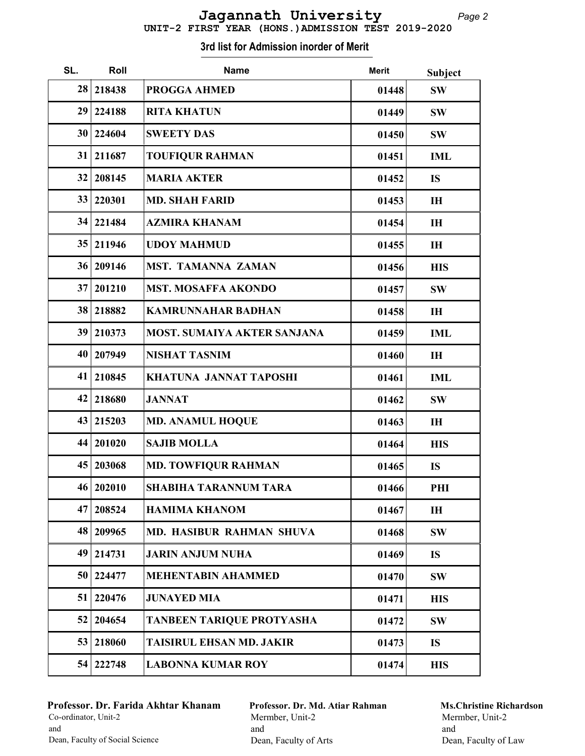| UNIT-2 FIRST YEAR (HONS.) ADMISSION TEST 2019-2020 |  |
|----------------------------------------------------|--|

| SL. | Roll      | <b>Name</b>                        | <b>Merit</b> | Subject    |
|-----|-----------|------------------------------------|--------------|------------|
| 28  | 218438    | <b>PROGGA AHMED</b>                | 01448        | <b>SW</b>  |
| 29  | 224188    | <b>RITA KHATUN</b>                 | 01449        | <b>SW</b>  |
| 30  | 224604    | <b>SWEETY DAS</b>                  | 01450        | <b>SW</b>  |
| 31  | 211687    | <b>TOUFIQUR RAHMAN</b>             | 01451        | <b>IML</b> |
| 32  | 208145    | <b>MARIA AKTER</b>                 | 01452        | <b>IS</b>  |
| 33  | 220301    | <b>MD. SHAH FARID</b>              | 01453        | IH         |
| 34  | 221484    | <b>AZMIRA KHANAM</b>               | 01454        | IH         |
| 35  | 211946    | <b>UDOY MAHMUD</b>                 | 01455        | IH         |
| 36  | 209146    | <b>MST. TAMANNA ZAMAN</b>          | 01456        | <b>HIS</b> |
| 37  | 201210    | <b>MST. MOSAFFA AKONDO</b>         | 01457        | <b>SW</b>  |
| 38  | 218882    | <b>KAMRUNNAHAR BADHAN</b>          | 01458        | IH         |
| 39  | 210373    | <b>MOST. SUMAIYA AKTER SANJANA</b> | 01459        | <b>IML</b> |
| 40  | 207949    | <b>NISHAT TASNIM</b>               | 01460        | IH         |
| 41  | 210845    | <b>KHATUNA JANNAT TAPOSHI</b>      | 01461        | <b>IML</b> |
| 42  | 218680    | <b>JANNAT</b>                      | 01462        | <b>SW</b>  |
| 43  | 215203    | <b>MD. ANAMUL HOQUE</b>            | 01463        | IH         |
| 44  | 201020    | <b>SAJIB MOLLA</b>                 | 01464        | <b>HIS</b> |
| 45  | 203068    | <b>MD. TOWFIQUR RAHMAN</b>         | 01465        | <b>IS</b>  |
|     | 46 202010 | <b>SHABIHA TARANNUM TARA</b>       | 01466        | PHI        |
| 47  | 208524    | <b>HAMIMA KHANOM</b>               | 01467        | IH         |
| 48  | 209965    | MD. HASIBUR RAHMAN SHUVA           | 01468        | <b>SW</b>  |
| 49  | 214731    | <b>JARIN ANJUM NUHA</b>            | 01469        | <b>IS</b>  |
| 50  | 224477    | <b>MEHENTABIN AHAMMED</b>          | 01470        | SW         |
| 51  | 220476    | <b>JUNAYED MIA</b>                 | 01471        | <b>HIS</b> |
| 52  | 204654    | TANBEEN TARIQUE PROTYASHA          | 01472        | <b>SW</b>  |
| 53  | 218060    | <b>TAISIRUL EHSAN MD. JAKIR</b>    | 01473        | <b>IS</b>  |
| 54  | 222748    | <b>LABONNA KUMAR ROY</b>           | 01474        | <b>HIS</b> |

Professor. Dr. Farida Akhtar Khanam Co-ordinator, Unit-2 and Dean, Faculty of Social Science

Professor. Dr. Md. Atiar Rahman Mermber, Unit-2 and Dean, Faculty of Arts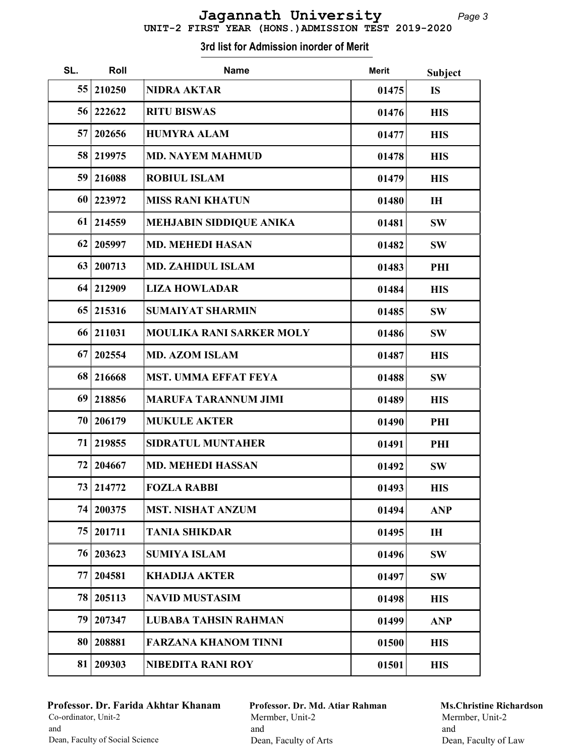| 55 | 210250    | <b>NIDRA AKTAR</b>              | 01475 | <b>IS</b>  |
|----|-----------|---------------------------------|-------|------------|
| 56 | 222622    | <b>RITU BISWAS</b>              | 01476 | <b>HIS</b> |
| 57 | 202656    | <b>HUMYRA ALAM</b>              | 01477 | <b>HIS</b> |
| 58 | 219975    | <b>MD. NAYEM MAHMUD</b>         | 01478 | <b>HIS</b> |
| 59 | 216088    | <b>ROBIUL ISLAM</b>             | 01479 | <b>HIS</b> |
| 60 | 223972    | <b>MISS RANI KHATUN</b>         | 01480 | IH         |
| 61 | 214559    | <b>MEHJABIN SIDDIQUE ANIKA</b>  | 01481 | SW         |
| 62 | 205997    | <b>MD. MEHEDI HASAN</b>         | 01482 | <b>SW</b>  |
| 63 | 200713    | <b>MD. ZAHIDUL ISLAM</b>        | 01483 | PHI        |
| 64 | 212909    | <b>LIZA HOWLADAR</b>            | 01484 | <b>HIS</b> |
| 65 | 215316    | <b>SUMAIYAT SHARMIN</b>         | 01485 | <b>SW</b>  |
| 66 | 211031    | <b>MOULIKA RANI SARKER MOLY</b> | 01486 | <b>SW</b>  |
| 67 | 202554    | <b>MD. AZOM ISLAM</b>           | 01487 | <b>HIS</b> |
| 68 | 216668    | <b>MST. UMMA EFFAT FEYA</b>     | 01488 | SW         |
| 69 | 218856    | <b>MARUFA TARANNUM JIMI</b>     | 01489 | <b>HIS</b> |
| 70 | 206179    | <b>MUKULE AKTER</b>             | 01490 | PHI        |
| 71 | 219855    | <b>SIDRATUL MUNTAHER</b>        | 01491 | PHI        |
| 72 | 204667    | <b>MD. MEHEDI HASSAN</b>        | 01492 | <b>SW</b>  |
| 73 | 214772    | <b>FOZLA RABBI</b>              | 01493 | <b>HIS</b> |
|    | 74 200375 | <b>MST. NISHAT ANZUM</b>        | 01494 | <b>ANP</b> |
| 75 | 201711    | <b>TANIA SHIKDAR</b>            | 01495 | IH         |
| 76 | 203623    | <b>SUMIYA ISLAM</b>             | 01496 | <b>SW</b>  |
| 77 | 204581    | <b>KHADIJA AKTER</b>            | 01497 | <b>SW</b>  |
| 78 | 205113    | <b>NAVID MUSTASIM</b>           | 01498 | <b>HIS</b> |
| 79 | 207347    | <b>LUBABA TAHSIN RAHMAN</b>     | 01499 | <b>ANP</b> |
| 80 | 208881    | <b>FARZANA KHANOM TINNI</b>     | 01500 | <b>HIS</b> |

81 209303 NIBEDITA RANI ROY 1501 HIS

#### 3rd list for Admission inorder of Merit

SL. Roll Mame Mame Merit Subject

#### Professor. Dr. Farida Akhtar Khanam Co-ordinator, Unit-2 and Dean, Faculty of Social Science

Professor. Dr. Md. Atiar Rahman Mermber, Unit-2 and Dean, Faculty of Arts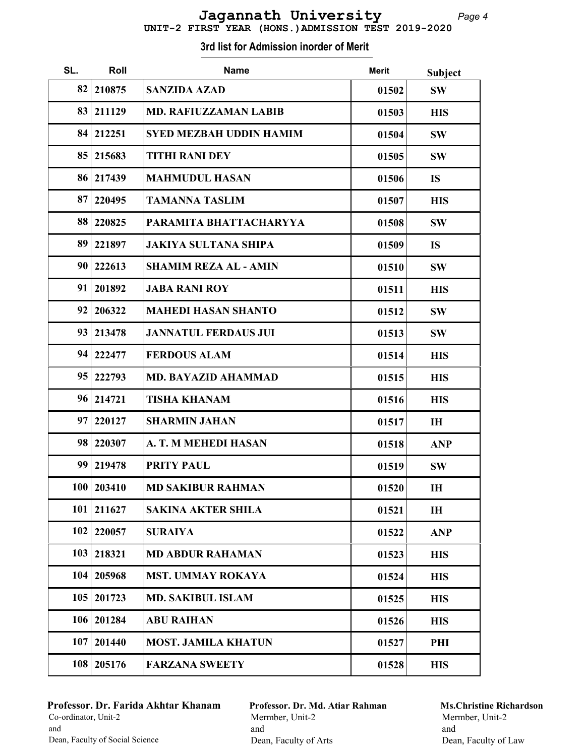|  |  | UNIT-2 FIRST YEAR (HONS.) ADMISSION TEST 2019-2020 |  |
|--|--|----------------------------------------------------|--|
|  |  |                                                    |  |

| SL.             | Roll         | <b>Name</b>                    | <b>Merit</b> | <b>Subject</b> |
|-----------------|--------------|--------------------------------|--------------|----------------|
| 82              | 210875       | <b>SANZIDA AZAD</b>            | 01502        | <b>SW</b>      |
| 83              | 211129       | <b>MD. RAFIUZZAMAN LABIB</b>   | 01503        | <b>HIS</b>     |
| 84              | 212251       | <b>SYED MEZBAH UDDIN HAMIM</b> | 01504        | <b>SW</b>      |
| 85              | 215683       | <b>TITHI RANI DEY</b>          | 01505        | <b>SW</b>      |
| 86              | 217439       | <b>MAHMUDUL HASAN</b>          | 01506        | <b>IS</b>      |
| 87              | 220495       | <b>TAMANNA TASLIM</b>          | 01507        | <b>HIS</b>     |
| 88              | 220825       | PARAMITA BHATTACHARYYA         | 01508        | <b>SW</b>      |
| 89              | 221897       | <b>JAKIYA SULTANA SHIPA</b>    | 01509        | <b>IS</b>      |
| 90 <sup>°</sup> | 222613       | <b>SHAMIM REZA AL - AMIN</b>   | 01510        | <b>SW</b>      |
| 91              | 201892       | <b>JABA RANI ROY</b>           | 01511        | <b>HIS</b>     |
| 92              | 206322       | <b>MAHEDI HASAN SHANTO</b>     | 01512        | <b>SW</b>      |
| 93              | 213478       | <b>JANNATUL FERDAUS JUI</b>    | 01513        | <b>SW</b>      |
| 94              | 222477       | <b>FERDOUS ALAM</b>            | 01514        | <b>HIS</b>     |
| 95              | 222793       | <b>MD. BAYAZID AHAMMAD</b>     | 01515        | <b>HIS</b>     |
| 96              | 214721       | <b>TISHA KHANAM</b>            | 01516        | <b>HIS</b>     |
| 97              | 220127       | <b>SHARMIN JAHAN</b>           | 01517        | IH             |
| 98              | 220307       | A. T. M MEHEDI HASAN           | 01518        | <b>ANP</b>     |
| 99              | 219478       | <b>PRITY PAUL</b>              | 01519        | <b>SW</b>      |
|                 | 100   203410 | <b>MD SAKIBUR RAHMAN</b>       | 01520        | IH             |
| 101             | 211627       | <b>SAKINA AKTER SHILA</b>      | 01521        | IH             |
| 102             | 220057       | <b>SURAIYA</b>                 | 01522        | <b>ANP</b>     |
| 103             | 218321       | <b>MD ABDUR RAHAMAN</b>        | 01523        | <b>HIS</b>     |
| 104             | 205968       | <b>MST. UMMAY ROKAYA</b>       | 01524        | <b>HIS</b>     |
| 105             | 201723       | <b>MD. SAKIBUL ISLAM</b>       | 01525        | <b>HIS</b>     |
| 106             | 201284       | <b>ABU RAIHAN</b>              | 01526        | <b>HIS</b>     |
| 107             | 201440       | <b>MOST. JAMILA KHATUN</b>     | 01527        | PHI            |
| 108             | 205176       | <b>FARZANA SWEETY</b>          | 01528        | <b>HIS</b>     |

Professor. Dr. Farida Akhtar Khanam Co-ordinator, Unit-2 and Dean, Faculty of Social Science

Professor. Dr. Md. Atiar Rahman Mermber, Unit-2 and Dean, Faculty of Arts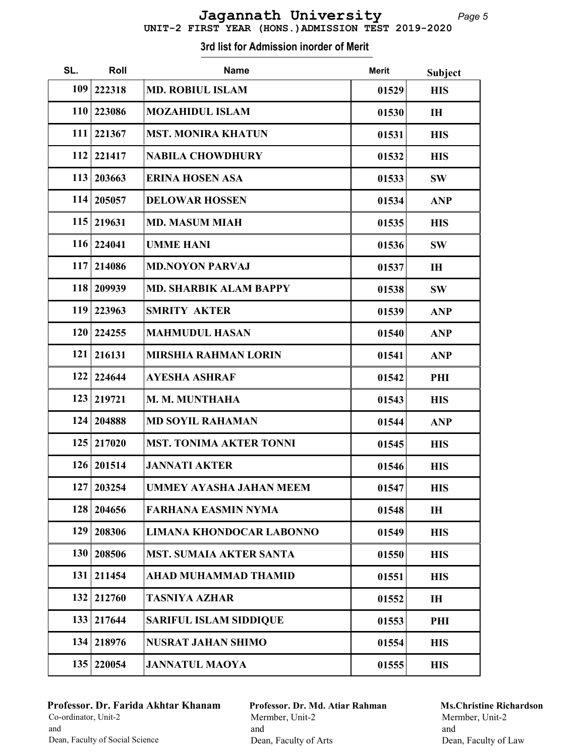| 109        | 222318       | <b>MD. ROBIUL ISLAM</b>         | 01529 | <b>HIS</b>     |
|------------|--------------|---------------------------------|-------|----------------|
| <b>110</b> | 223086       | <b>MOZAHIDUL ISLAM</b>          | 01530 | I <sub>H</sub> |
| 111        | 221367       | <b>MST. MONIRA KHATUN</b>       | 01531 | <b>HIS</b>     |
| 112        | 221417       | <b>NABILA CHOWDHURY</b>         | 01532 | <b>HIS</b>     |
| 113        | 203663       | <b>ERINA HOSEN ASA</b>          | 01533 | <b>SW</b>      |
| 114        | 205057       | <b>DELOWAR HOSSEN</b>           | 01534 | <b>ANP</b>     |
| 115        | 219631       | <b>MD. MASUM MIAH</b>           | 01535 | <b>HIS</b>     |
|            | 116 224041   | <b>UMME HANI</b>                | 01536 | <b>SW</b>      |
| 117        | 214086       | <b>MD.NOYON PARVAJ</b>          | 01537 | IH             |
| 118        | 209939       | <b>MD. SHARBIK ALAM BAPPY</b>   | 01538 | <b>SW</b>      |
| 119        | 223963       | <b>SMRITY AKTER</b>             | 01539 | <b>ANP</b>     |
| 120        | 224255       | <b>MAHMUDUL HASAN</b>           | 01540 | <b>ANP</b>     |
| 121        | 216131       | <b>MIRSHIA RAHMAN LORIN</b>     | 01541 | <b>ANP</b>     |
| 122        | 224644       | <b>AYESHA ASHRAF</b>            | 01542 | PHI            |
| 123        | 219721       | M. M. MUNTHAHA                  | 01543 | <b>HIS</b>     |
| 124        | 204888       | <b>MD SOYIL RAHAMAN</b>         | 01544 | <b>ANP</b>     |
| 125        | 217020       | <b>MST. TONIMA AKTER TONNI</b>  | 01545 | <b>HIS</b>     |
| 126        | 201514       | <b>JANNATI AKTER</b>            | 01546 | <b>HIS</b>     |
| 127        | 203254       | <b>UMMEY AYASHA JAHAN MEEM</b>  | 01547 | <b>HIS</b>     |
|            | 128   204656 | <b>FARHANA EASMIN NYMA</b>      | 01548 | IH             |
| 129        | 208306       | <b>LIMANA KHONDOCAR LABONNO</b> | 01549 | <b>HIS</b>     |
| 130        | 208506       | <b>MST. SUMAIA AKTER SANTA</b>  | 01550 | <b>HIS</b>     |
| 131        | 211454       | <b>AHAD MUHAMMAD THAMID</b>     | 01551 | <b>HIS</b>     |
| 132        | 212760       | <b>TASNIYA AZHAR</b>            | 01552 | IH             |
| 133        | 217644       | <b>SARIFUL ISLAM SIDDIQUE</b>   | 01553 | PHI            |
| 134        | 218976       | <b>NUSRAT JAHAN SHIMO</b>       | 01554 | <b>HIS</b>     |
| 135        | 220054       | <b>JANNATUL MAOYA</b>           | 01555 | <b>HIS</b>     |

SL. Roll Mame Mame Merit Subject

#### Professor. Dr. Farida Akhtar Khanam Co-ordinator, Unit-2 and Dean, Faculty of Social Science

Г

Professor. Dr. Md. Atiar Rahman Mermber, Unit-2 and Dean, Faculty of Arts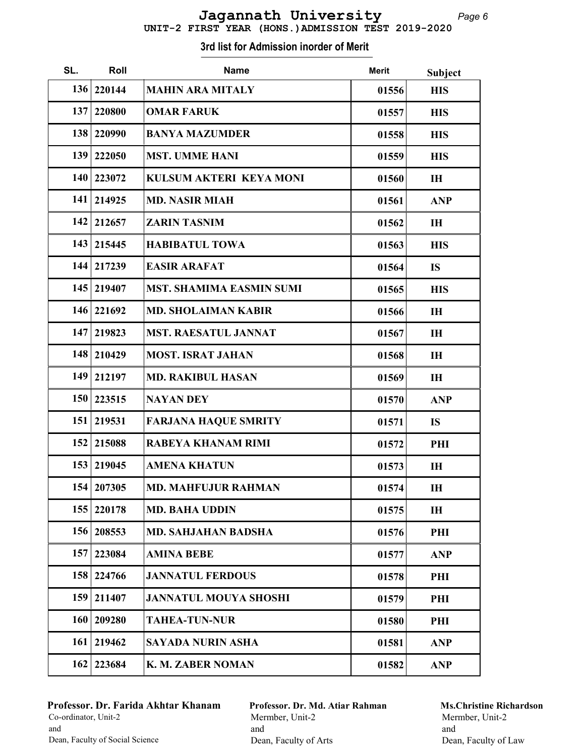|  |  | UNIT-2 FIRST YEAR (HONS.) ADMISSION TEST 2019-2020 |  |
|--|--|----------------------------------------------------|--|
|  |  |                                                    |  |

| SL. | Roll         | <b>Name</b>                     | <b>Merit</b> | Subject    |
|-----|--------------|---------------------------------|--------------|------------|
|     | 136 220144   | <b>MAHIN ARA MITALY</b>         | 01556        | <b>HIS</b> |
| 137 | 220800       | <b>OMAR FARUK</b>               | 01557        | <b>HIS</b> |
| 138 | 220990       | <b>BANYA MAZUMDER</b>           | 01558        | <b>HIS</b> |
| 139 | 222050       | <b>MST. UMME HANI</b>           | 01559        | <b>HIS</b> |
| 140 | 223072       | KULSUM AKTERI KEYA MONI         | 01560        | IH         |
| 141 | 214925       | <b>MD. NASIR MIAH</b>           | 01561        | <b>ANP</b> |
| 142 | 212657       | <b>ZARIN TASNIM</b>             | 01562        | IH         |
|     | 143   215445 | <b>HABIBATUL TOWA</b>           | 01563        | <b>HIS</b> |
|     | 144 217239   | <b>EASIR ARAFAT</b>             | 01564        | <b>IS</b>  |
|     | 145 219407   | <b>MST. SHAMIMA EASMIN SUMI</b> | 01565        | <b>HIS</b> |
| 146 | 221692       | <b>MD. SHOLAIMAN KABIR</b>      | 01566        | IH         |
| 147 | 219823       | <b>MST. RAESATUL JANNAT</b>     | 01567        | IH         |
| 148 | 210429       | <b>MOST. ISRAT JAHAN</b>        | 01568        | IH         |
| 149 | 212197       | <b>MD. RAKIBUL HASAN</b>        | 01569        | IH         |
| 150 | 223515       | <b>NAYAN DEY</b>                | 01570        | <b>ANP</b> |
|     | 151   219531 | <b>FARJANA HAQUE SMRITY</b>     | 01571        | <b>IS</b>  |
| 152 | 215088       | <b>RABEYA KHANAM RIMI</b>       | 01572        | PHI        |
| 153 | 219045       | <b>AMENA KHATUN</b>             | 01573        | IH         |
|     | 154 207305   | <b>MD. MAHFUJUR RAHMAN</b>      | 01574        | IH         |
| 155 | 220178       | <b>MD. BAHA UDDIN</b>           | 01575        | IH         |
| 156 | 208553       | <b>MD. SAHJAHAN BADSHA</b>      | 01576        | PHI        |
| 157 | 223084       | <b>AMINA BEBE</b>               | 01577        | <b>ANP</b> |
| 158 | 224766       | <b>JANNATUL FERDOUS</b>         | 01578        | PHI        |
| 159 | 211407       | <b>JANNATUL MOUYA SHOSHI</b>    | 01579        | PHI        |
| 160 | 209280       | <b>TAHEA-TUN-NUR</b>            | 01580        | PHI        |
| 161 | 219462       | <b>SAYADA NURIN ASHA</b>        | 01581        | <b>ANP</b> |
| 162 | 223684       | K. M. ZABER NOMAN               | 01582        | <b>ANP</b> |

## Professor. Dr. Farida Akhtar Khanam Co-ordinator, Unit-2 and Dean, Faculty of Social Science

Professor. Dr. Md. Atiar Rahman Mermber, Unit-2 and Dean, Faculty of Arts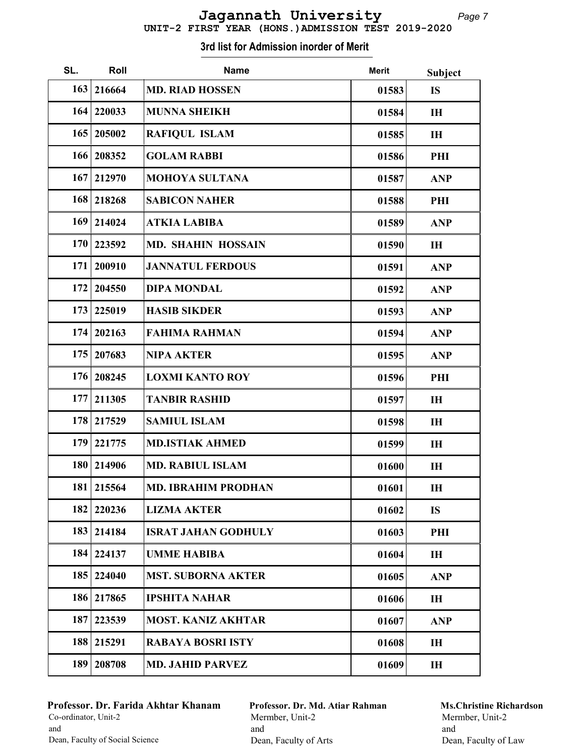| 163 | 216664       | <b>MD. RIAD HOSSEN</b>     | 01583 | <b>IS</b>  |
|-----|--------------|----------------------------|-------|------------|
|     | 164   220033 | <b>MUNNA SHEIKH</b>        | 01584 | IH         |
| 165 | 205002       | <b>RAFIQUL ISLAM</b>       | 01585 | IH         |
| 166 | 208352       | <b>GOLAM RABBI</b>         | 01586 | PHI        |
| 167 | 212970       | <b>MOHOYA SULTANA</b>      | 01587 | <b>ANP</b> |
| 168 | 218268       | <b>SABICON NAHER</b>       | 01588 | PHI        |
| 169 | 214024       | <b>ATKIA LABIBA</b>        | 01589 | <b>ANP</b> |
| 170 | 223592       | <b>MD. SHAHIN HOSSAIN</b>  | 01590 | IH         |
| 171 | 200910       | <b>JANNATUL FERDOUS</b>    | 01591 | <b>ANP</b> |
| 172 | 204550       | <b>DIPA MONDAL</b>         | 01592 | <b>ANP</b> |
| 173 | 225019       | <b>HASIB SIKDER</b>        | 01593 | <b>ANP</b> |
| 174 | 202163       | <b>FAHIMA RAHMAN</b>       | 01594 | <b>ANP</b> |
| 175 | 207683       | <b>NIPA AKTER</b>          | 01595 | <b>ANP</b> |
| 176 | 208245       | <b>LOXMI KANTO ROY</b>     | 01596 | PHI        |
| 177 | 211305       | <b>TANBIR RASHID</b>       | 01597 | IH         |
| 178 | 217529       | <b>SAMIUL ISLAM</b>        | 01598 | IH         |
| 179 | 221775       | <b>MD.ISTIAK AHMED</b>     | 01599 | IH         |
| 180 | 214906       | <b>MD. RABIUL ISLAM</b>    | 01600 | IH         |
| 181 | 215564       | <b>MD. IBRAHIM PRODHAN</b> | 01601 | IH         |
|     | 182 220236   | <b>LIZMA AKTER</b>         | 01602 | <b>IS</b>  |
| 183 | 214184       | <b>ISRAT JAHAN GODHULY</b> | 01603 | PHI        |
| 184 | 224137       | <b>UMME HABIBA</b>         | 01604 | IH         |
| 185 | 224040       | <b>MST. SUBORNA AKTER</b>  | 01605 | <b>ANP</b> |
| 186 | 217865       | <b>IPSHITA NAHAR</b>       | 01606 | IH         |
| 187 | 223539       | <b>MOST. KANIZ AKHTAR</b>  | 01607 | <b>ANP</b> |
| 188 | 215291       | <b>RABAYA BOSRI ISTY</b>   | 01608 | IH         |
| 189 | 208708       | <b>MD. JAHID PARVEZ</b>    | 01609 | IH         |
|     |              |                            |       |            |

SL. Roll Mame Mame Merit Subject

#### Professor. Dr. Farida Akhtar Khanam Co-ordinator, Unit-2 and Dean, Faculty of Social Science

Professor. Dr. Md. Atiar Rahman Mermber, Unit-2 and Dean, Faculty of Arts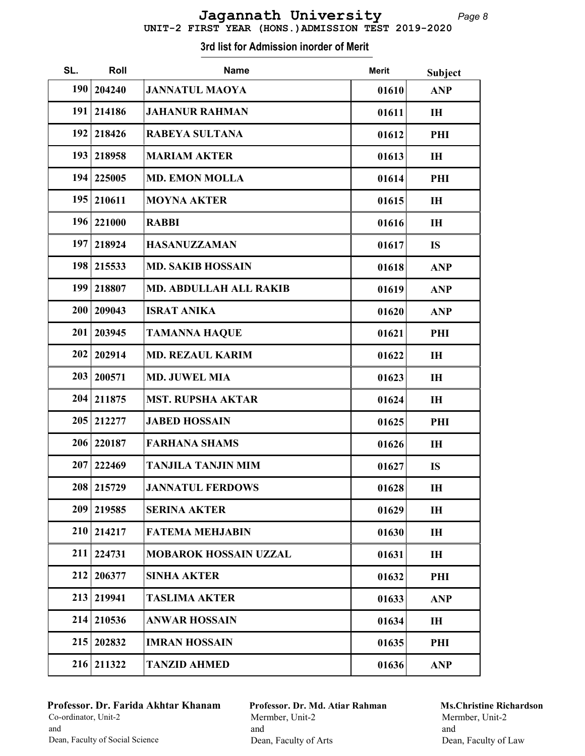| SL. | Roll       | <b>Name</b>                   | <b>Merit</b> | Subject        |
|-----|------------|-------------------------------|--------------|----------------|
| 190 | 204240     | <b>JANNATUL MAOYA</b>         | 01610        | <b>ANP</b>     |
| 191 | 214186     | <b>JAHANUR RAHMAN</b>         | 01611        | IH             |
| 192 | 218426     | <b>RABEYA SULTANA</b>         | 01612        | PHI            |
| 193 | 218958     | <b>MARIAM AKTER</b>           | 01613        | IH             |
| 194 | 225005     | <b>MD. EMON MOLLA</b>         | 01614        | PHI            |
| 195 | 210611     | <b>MOYNA AKTER</b>            | 01615        | IH             |
| 196 | 221000     | <b>RABBI</b>                  | 01616        | IH             |
| 197 | 218924     | <b>HASANUZZAMAN</b>           | 01617        | <b>IS</b>      |
| 198 | 215533     | <b>MD. SAKIB HOSSAIN</b>      | 01618        | <b>ANP</b>     |
| 199 | 218807     | <b>MD. ABDULLAH ALL RAKIB</b> | 01619        | <b>ANP</b>     |
| 200 | 209043     | <b>ISRAT ANIKA</b>            | 01620        | <b>ANP</b>     |
| 201 | 203945     | <b>TAMANNA HAQUE</b>          | 01621        | PHI            |
| 202 | 202914     | <b>MD. REZAUL KARIM</b>       | 01622        | I <sub>H</sub> |
| 203 | 200571     | <b>MD. JUWEL MIA</b>          | 01623        | IH             |
| 204 | 211875     | <b>MST. RUPSHA AKTAR</b>      | 01624        | IH             |
| 205 | 212277     | <b>JABED HOSSAIN</b>          | 01625        | PHI            |
| 206 | 220187     | <b>FARHANA SHAMS</b>          | 01626        | IH             |
| 207 | 222469     | <b>TANJILA TANJIN MIM</b>     | 01627        | <b>IS</b>      |
|     | 208 215729 | <b>JANNATUL FERDOWS</b>       | 01628        | IH             |
| 209 | 219585     | <b>SERINA AKTER</b>           | 01629        | IH             |
| 210 | 214217     | <b>FATEMA MEHJABIN</b>        | 01630        | IH             |
| 211 | 224731     | <b>MOBAROK HOSSAIN UZZAL</b>  | 01631        | IH             |
| 212 | 206377     | <b>SINHA AKTER</b>            | 01632        | PHI            |
| 213 | 219941     | <b>TASLIMA AKTER</b>          | 01633        | <b>ANP</b>     |
| 214 | 210536     | <b>ANWAR HOSSAIN</b>          | 01634        | IH             |
| 215 | 202832     | <b>IMRAN HOSSAIN</b>          | 01635        | PHI            |
|     | 216 211322 | <b>TANZID AHMED</b>           | 01636        | <b>ANP</b>     |

## Professor. Dr. Farida Akhtar Khanam Co-ordinator, Unit-2 and Dean, Faculty of Social Science

Professor. Dr. Md. Atiar Rahman Mermber, Unit-2 and Dean, Faculty of Arts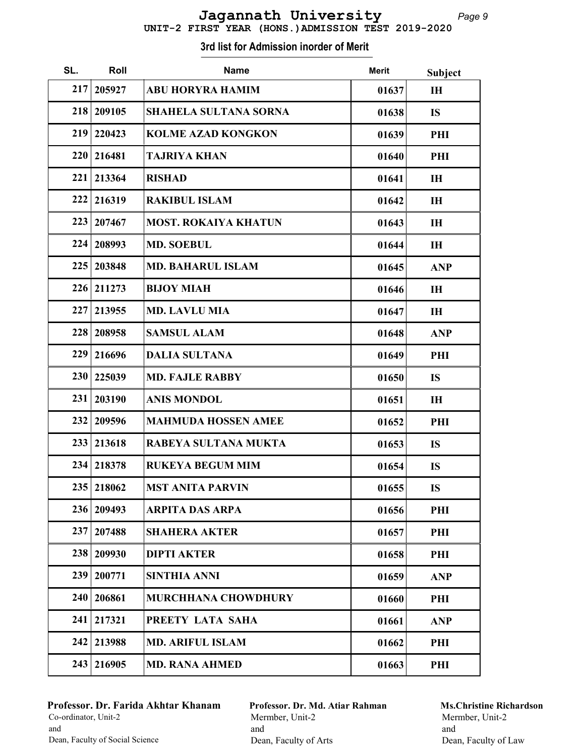| UNIT-2 FIRST YEAR (HONS.) ADMISSION TEST 2019-2020 |  |  |  |  |
|----------------------------------------------------|--|--|--|--|

| SL. | Roll         | <b>Name</b>                  | <b>Merit</b> | Subject    |
|-----|--------------|------------------------------|--------------|------------|
| 217 | 205927       | <b>ABU HORYRA HAMIM</b>      | 01637        | IH         |
| 218 | 209105       | <b>SHAHELA SULTANA SORNA</b> | 01638        | <b>IS</b>  |
| 219 | 220423       | <b>KOLME AZAD KONGKON</b>    | 01639        | PHI        |
| 220 | 216481       | <b>TAJRIYA KHAN</b>          | 01640        | PHI        |
| 221 | 213364       | <b>RISHAD</b>                | 01641        | IH         |
| 222 | 216319       | <b>RAKIBUL ISLAM</b>         | 01642        | IH         |
| 223 | 207467       | <b>MOST. ROKAIYA KHATUN</b>  | 01643        | IH         |
| 224 | 208993       | <b>MD. SOEBUL</b>            | 01644        | IH         |
| 225 | 203848       | <b>MD. BAHARUL ISLAM</b>     | 01645        | <b>ANP</b> |
| 226 | 211273       | <b>BIJOY MIAH</b>            | 01646        | IH         |
| 227 | 213955       | <b>MD. LAVLU MIA</b>         | 01647        | IH         |
| 228 | 208958       | <b>SAMSUL ALAM</b>           | 01648        | <b>ANP</b> |
| 229 | 216696       | <b>DALIA SULTANA</b>         | 01649        | PHI        |
| 230 | 225039       | <b>MD. FAJLE RABBY</b>       | 01650        | <b>IS</b>  |
| 231 | 203190       | <b>ANIS MONDOL</b>           | 01651        | IH         |
| 232 | 209596       | <b>MAHMUDA HOSSEN AMEE</b>   | 01652        | PHI        |
| 233 | 213618       | RABEYA SULTANA MUKTA         | 01653        | <b>IS</b>  |
| 234 | 218378       | <b>RUKEYA BEGUM MIM</b>      | 01654        | <b>IS</b>  |
|     | 235   218062 | <b>MST ANITA PARVIN</b>      | 01655        | <b>IS</b>  |
|     | 236 209493   | ARPITA DAS ARPA              | 01656        | PHI        |
| 237 | 207488       | <b>SHAHERA AKTER</b>         | 01657        | PHI        |
| 238 | 209930       | <b>DIPTI AKTER</b>           | 01658        | PHI        |
| 239 | 200771       | <b>SINTHIA ANNI</b>          | 01659        | <b>ANP</b> |
| 240 | 206861       | <b>MURCHHANA CHOWDHURY</b>   | 01660        | PHI        |
| 241 | 217321       | PREETY LATA SAHA             | 01661        | <b>ANP</b> |
| 242 | 213988       | <b>MD. ARIFUL ISLAM</b>      | 01662        | PHI        |
| 243 | 216905       | <b>MD. RANA AHMED</b>        | 01663        | PHI        |

## Professor. Dr. Farida Akhtar Khanam Co-ordinator, Unit-2 and Dean, Faculty of Social Science

Professor. Dr. Md. Atiar Rahman Mermber, Unit-2 and Dean, Faculty of Arts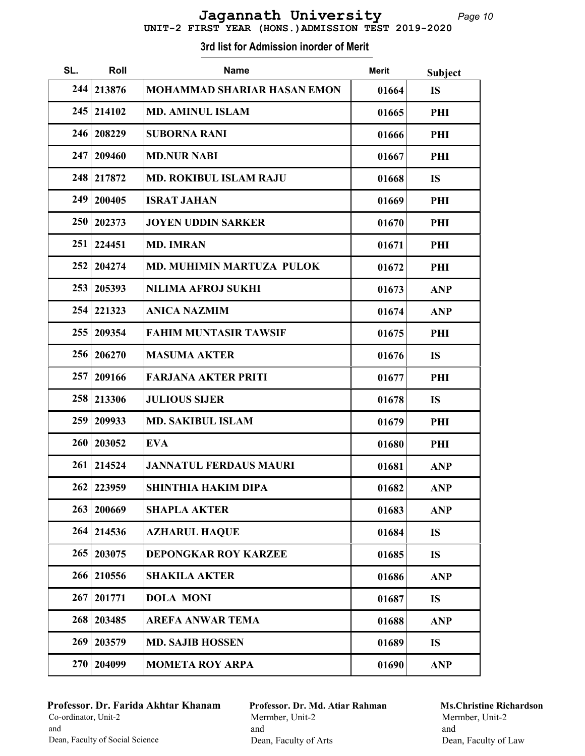# UNIT-2 FIRST YEAR (HONS.)ADMISSION TEST 2019-2020 Jagannath University

| SL. | Roll       | <b>Name</b>                        | <b>Merit</b> | <b>Subject</b> |
|-----|------------|------------------------------------|--------------|----------------|
| 244 | 213876     | <b>MOHAMMAD SHARIAR HASAN EMON</b> | 01664        | <b>IS</b>      |
| 245 | 214102     | <b>MD. AMINUL ISLAM</b>            | 01665        | PHI            |
| 246 | 208229     | <b>SUBORNA RANI</b>                | 01666        | PHI            |
| 247 | 209460     | <b>MD.NUR NABI</b>                 | 01667        | PHI            |
| 248 | 217872     | <b>MD. ROKIBUL ISLAM RAJU</b>      | 01668        | <b>IS</b>      |
| 249 | 200405     | <b>ISRAT JAHAN</b>                 | 01669        | PHI            |
| 250 | 202373     | <b>JOYEN UDDIN SARKER</b>          | 01670        | PHI            |
| 251 | 224451     | <b>MD. IMRAN</b>                   | 01671        | PHI            |
| 252 | 204274     | <b>MD. MUHIMIN MARTUZA PULOK</b>   | 01672        | PHI            |
| 253 | 205393     | <b>NILIMA AFROJ SUKHI</b>          | 01673        | <b>ANP</b>     |
| 254 | 221323     | <b>ANICA NAZMIM</b>                | 01674        | <b>ANP</b>     |
| 255 | 209354     | <b>FAHIM MUNTASIR TAWSIF</b>       | 01675        | PHI            |
| 256 | 206270     | <b>MASUMA AKTER</b>                | 01676        | <b>IS</b>      |
| 257 | 209166     | <b>FARJANA AKTER PRITI</b>         | 01677        | PHI            |
| 258 | 213306     | <b>JULIOUS SIJER</b>               | 01678        | <b>IS</b>      |
| 259 | 209933     | <b>MD. SAKIBUL ISLAM</b>           | 01679        | PHI            |
| 260 | 203052     | <b>EVA</b>                         | 01680        | PHI            |
| 261 | 214524     | <b>JANNATUL FERDAUS MAURI</b>      | 01681        | <b>ANP</b>     |
| 262 | 223959     | <b>SHINTHIA HAKIM DIPA</b>         | 01682        | <b>ANP</b>     |
| 263 | 200669     | <b>SHAPLA AKTER</b>                | 01683        | <b>ANP</b>     |
|     | 264 214536 | <b>AZHARUL HAQUE</b>               | 01684        | <b>IS</b>      |
| 265 | 203075     | <b>DEPONGKAR ROY KARZEE</b>        | 01685        | <b>IS</b>      |
| 266 | 210556     | <b>SHAKILA AKTER</b>               | 01686        | <b>ANP</b>     |
| 267 | 201771     | <b>DOLA MONI</b>                   | 01687        | <b>IS</b>      |
| 268 | 203485     | <b>AREFA ANWAR TEMA</b>            | 01688        | <b>ANP</b>     |
| 269 | 203579     | <b>MD. SAJIB HOSSEN</b>            | 01689        | <b>IS</b>      |
| 270 | 204099     | <b>MOMETA ROY ARPA</b>             | 01690        | <b>ANP</b>     |

#### 3rd list for Admission inorder of Merit

## Professor. Dr. Farida Akhtar Khanam Co-ordinator, Unit-2 and Dean, Faculty of Social Science

Professor. Dr. Md. Atiar Rahman Mermber, Unit-2 and Dean, Faculty of Arts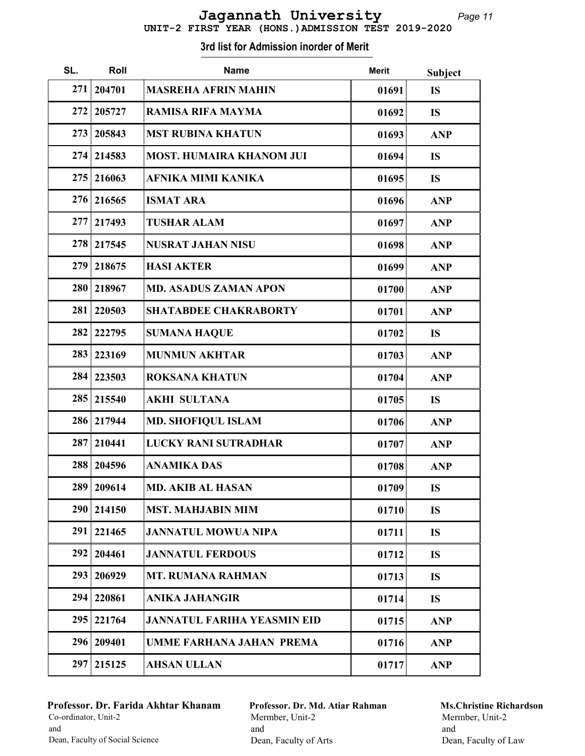|  | UNIT-2 FIRST YEAR (HONS.) ADMISSION TEST 2019-2020 |  |  |
|--|----------------------------------------------------|--|--|

| SL. | Roll         | <b>Name</b>                        | <b>Merit</b> | <b>Subject</b> |
|-----|--------------|------------------------------------|--------------|----------------|
| 271 | 204701       | <b>MASREHA AFRIN MAHIN</b>         | 01691        | <b>IS</b>      |
| 272 | 205727       | <b>RAMISA RIFA MAYMA</b>           | 01692        | <b>IS</b>      |
| 273 | 205843       | <b>MST RUBINA KHATUN</b>           | 01693        | <b>ANP</b>     |
| 274 | 214583       | <b>MOST. HUMAIRA KHANOM JUI</b>    | 01694        | <b>IS</b>      |
| 275 | 216063       | <b>AFNIKA MIMI KANIKA</b>          | 01695        | <b>IS</b>      |
| 276 | 216565       | <b>ISMAT ARA</b>                   | 01696        | <b>ANP</b>     |
| 277 | 217493       | <b>TUSHAR ALAM</b>                 | 01697        | <b>ANP</b>     |
| 278 | 217545       | <b>NUSRAT JAHAN NISU</b>           | 01698        | <b>ANP</b>     |
| 279 | 218675       | <b>HASI AKTER</b>                  | 01699        | <b>ANP</b>     |
| 280 | 218967       | <b>MD. ASADUS ZAMAN APON</b>       | 01700        | <b>ANP</b>     |
| 281 | 220503       | <b>SHATABDEE CHAKRABORTY</b>       | 01701        | <b>ANP</b>     |
| 282 | 222795       | <b>SUMANA HAQUE</b>                | 01702        | <b>IS</b>      |
| 283 | 223169       | <b>MUNMUN AKHTAR</b>               | 01703        | <b>ANP</b>     |
| 284 | 223503       | <b>ROKSANA KHATUN</b>              | 01704        | <b>ANP</b>     |
| 285 | 215540       | <b>AKHI SULTANA</b>                | 01705        | <b>IS</b>      |
| 286 | 217944       | <b>MD. SHOFIQUL ISLAM</b>          | 01706        | <b>ANP</b>     |
| 287 | 210441       | LUCKY RANI SUTRADHAR               | 01707        | <b>ANP</b>     |
| 288 | 204596       | <b>ANAMIKA DAS</b>                 | 01708        | <b>ANP</b>     |
|     | 289   209614 | <b>MD. AKIB AL HASAN</b>           | 01709        | <b>IS</b>      |
| 290 | 214150       | <b>MST. MAHJABIN MIM</b>           | 01710        | <b>IS</b>      |
| 291 | 221465       | <b>JANNATUL MOWUA NIPA</b>         | 01711        | <b>IS</b>      |
| 292 | 204461       | <b>JANNATUL FERDOUS</b>            | 01712        | <b>IS</b>      |
| 293 | 206929       | <b>MT. RUMANA RAHMAN</b>           | 01713        | <b>IS</b>      |
| 294 | 220861       | <b>ANIKA JAHANGIR</b>              | 01714        | <b>IS</b>      |
| 295 | 221764       | <b>JANNATUL FARIHA YEASMIN EID</b> | 01715        | <b>ANP</b>     |
| 296 | 209401       | <b>UMME FARHANA JAHAN PREMA</b>    | 01716        | <b>ANP</b>     |
| 297 | 215125       | <b>AHSAN ULLAN</b>                 | 01717        | <b>ANP</b>     |

## Professor. Dr. Farida Akhtar Khanam Co-ordinator, Unit-2 and Dean, Faculty of Social Science

Professor. Dr. Md. Atiar Rahman Mermber, Unit-2 and Dean, Faculty of Arts